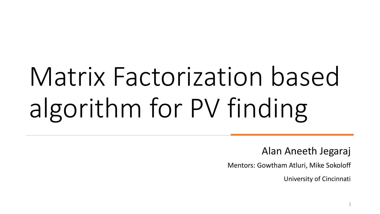# Matrix Factorization based algorithm for PV finding

Alan Aneeth Jegaraj

Mentors: Gowtham Atluri, Mike Sokoloff

University of Cincinnati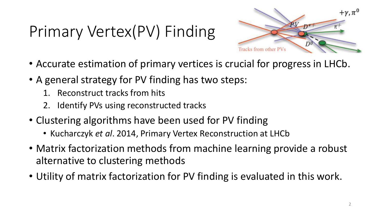# Primary Vertex(PV) Finding



- Accurate estimation of primary vertices is crucial for progress in LHCb.
- A general strategy for PV finding has two steps:
	- Reconstruct tracks from hits
	- 2. Identify PVs using reconstructed tracks
- Clustering algorithms have been used for PV finding
	- Kucharczyk *et al*. 2014, Primary Vertex Reconstruction at LHCb
- Matrix factorization methods from machine learning provide a robust alternative to clustering methods
- Utility of matrix factorization for PV finding is evaluated in this work.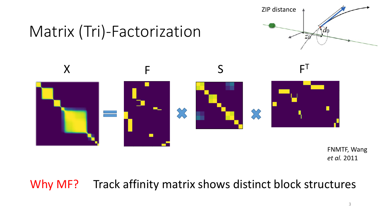

### Matrix (Tri)-Factorization



FNMTF, Wang *et al.* 2011

#### Why MF? Track affinity matrix shows distinct block structures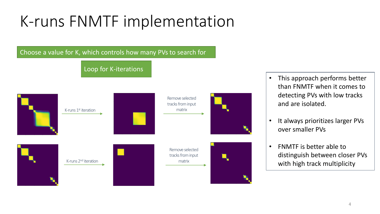# K-runs FNMTF implementation

Choose a value for K, which controls how many PVs to search for

Loop for K-iterations



- This approach performs better than FNMTF when it comes to detecting PVs with low tracks and are isolated.
- It always prioritizes larger PVs over smaller PVs
- FNMTF is better able to distinguish between closer PVs with high track multiplicity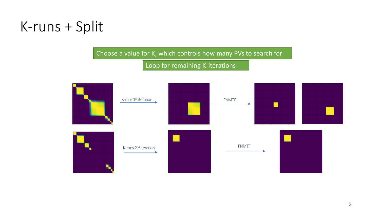#### K-runs + Split

Choose a value for K, which controls how many PVs to search for

Loop for remaining K-iterations

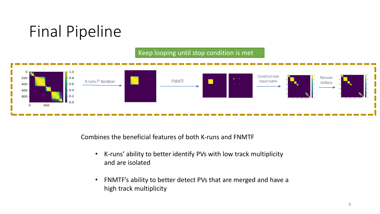

#### Keep looping until stop condition is met



Combines the beneficial features of both K-runs and FNMTF

- K-runs' ability to better identify PVs with low track multiplicity and are isolated
- FNMTF's ability to better detect PVs that are merged and have a high track multiplicity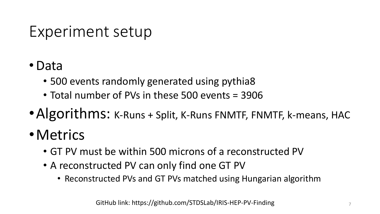#### Experiment setup

- •Data
	- 500 events randomly generated using pythia8
	- Total number of PVs in these 500 events = 3906
- •Algorithms: K-Runs + Split, K-Runs FNMTF, FNMTF, k-means, HAC
- •Metrics
	- GT PV must be within 500 microns of a reconstructed PV
	- A reconstructed PV can only find one GT PV
		- Reconstructed PVs and GT PVs matched using Hungarian algorithm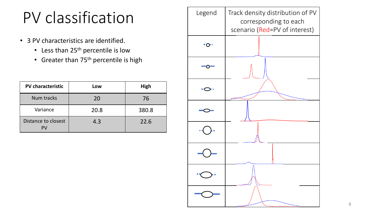### PV classification

- 3 PV characteristics are identified.
	- Less than 25<sup>th</sup> percentile is low
	- Greater than 75<sup>th</sup> percentile is high

| <b>PV characteristic</b>  | Low  | <b>High</b> |
|---------------------------|------|-------------|
| <b>Num tracks</b>         | 20   | 76          |
| Variance                  | 20.8 | 380.8       |
| Distance to closest<br>PV | 4.3  | 22.6        |

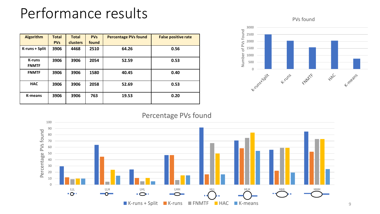#### Performance results

| <b>Algorithm</b>              | <b>Total</b> | <b>Total</b>    | <b>PVs</b> | <b>Percentage PVs found</b> | <b>False positive rate</b> |
|-------------------------------|--------------|-----------------|------------|-----------------------------|----------------------------|
|                               | <b>PVs</b>   | <b>clusters</b> | found      |                             |                            |
| K-runs + Split                | 3906         | 4468            | 2510       | 64.26                       | 0.56                       |
| <b>K-runs</b><br><b>FNMTF</b> | 3906         | 3906            | 2054       | 52.59                       | 0.53                       |
| <b>FNMTF</b>                  | 3906         | 3906            | 1580       | 40.45                       | 0.40                       |
| <b>HAC</b>                    | 3906         | 3906            | 2058       | 52.69                       | 0.53                       |
| K-means                       | 3906         | 3906            | 763        | 19.53                       | 0.20                       |

PVs found



#### Percentage PVs found



9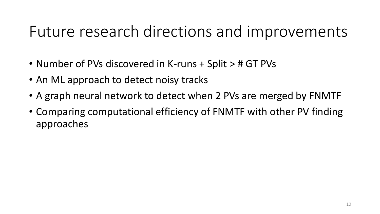#### Future research directions and improvements

- Number of PVs discovered in K-runs + Split > # GT PVs
- An ML approach to detect noisy tracks
- A graph neural network to detect when 2 PVs are merged by FNMTF
- Comparing computational efficiency of FNMTF with other PV finding approaches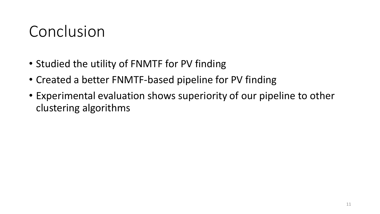#### Conclusion

- Studied the utility of FNMTF for PV finding
- Created a better FNMTF-based pipeline for PV finding
- Experimental evaluation shows superiority of our pipeline to other clustering algorithms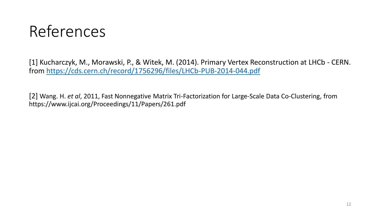#### References

[1] Kucharczyk, M., Morawski, P., & Witek, M. (2014). Primary Vertex Reconstruction at LHCb - CERN. from<https://cds.cern.ch/record/1756296/files/LHCb-PUB-2014-044.pdf>

[2] Wang. H. *et al*, 2011, Fast Nonnegative Matrix Tri-Factorization for Large-Scale Data Co-Clustering, from https://www.ijcai.org/Proceedings/11/Papers/261.pdf